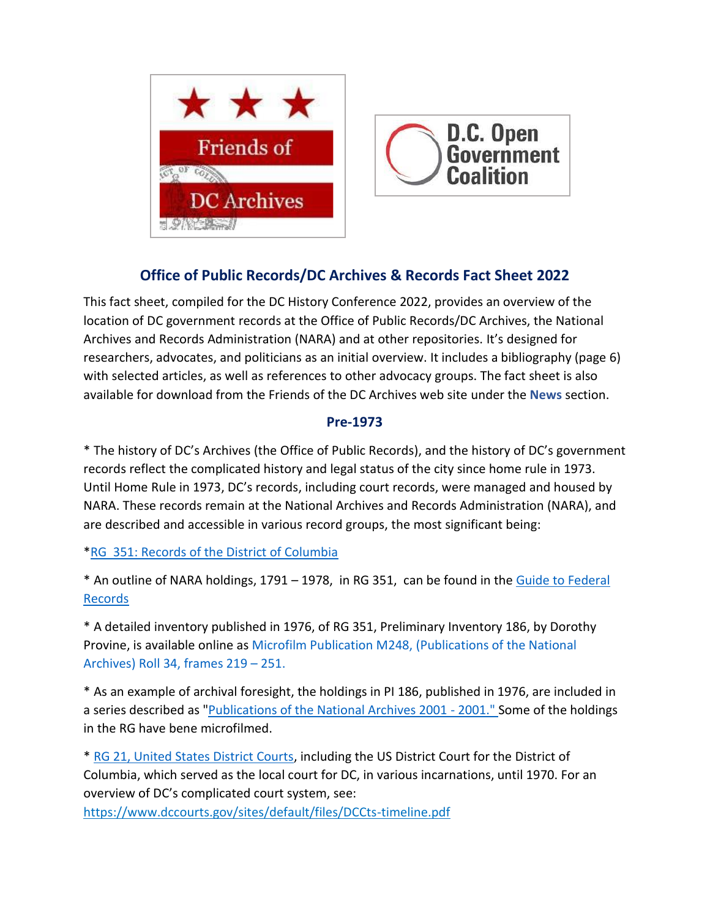



# **Office of Public Records/DC Archives & Records Fact Sheet 2022**

This fact sheet, compiled for the DC History Conference 2022, provides an overview of the location of DC government records at the Office of Public Records/DC Archives, the National Archives and Records Administration (NARA) and at other repositories. It's designed for researchers, advocates, and politicians as an initial overview. It includes a bibliography (page 6) with selected articles, as well as references to other advocacy groups. The fact sheet is also available for download from the Friends of the DC Archives web site under the **News** section.

#### **Pre-1973**

\* The history of DC's Archives (the Office of Public Records), and the history of DC's government records reflect the complicated history and legal status of the city since home rule in 1973. Until Home Rule in 1973, DC's records, including court records, were managed and housed by NARA. These records remain at the National Archives and Records Administration (NARA), and are described and accessible in various record groups, the most significant being:

[\\*RG 351: Records of the District of Columbia](https://www.archives.gov/findingaid/stat/discovery/351)

\* An outline of NARA holdings, 1791 – 1978, in RG 351, can be found in the [Guide to Federal](https://www.archives.gov/research/guide-fed-records/groups/351.html)  [Records](https://www.archives.gov/research/guide-fed-records/groups/351.html)

\* A detailed inventory published in 1976, of RG 351, Preliminary Inventory 186, by Dorothy Provine, is available online as [Microfilm Publication M248, \(Publications of the National](https://catalog.archives.gov/id/178401220)  [Archives\) Roll 34, frames 219](https://catalog.archives.gov/id/178401220) – 251.

\* As an example of archival foresight, the holdings in PI 186, published in 1976, are included in a series described as ["Publications of the National Archives 2001 -](https://catalog.archives.gov/id/176887728) 2001." Some of the holdings in the RG have bene microfilmed.

\* [RG 21, United States District Courts,](https://www.archives.gov/findingaid/stat/discovery/21) including the US District Court for the District of Columbia, which served as the local court for DC, in various incarnations, until 1970. For an overview of DC's complicated court system, see:

<https://www.dccourts.gov/sites/default/files/DCCts-timeline.pdf>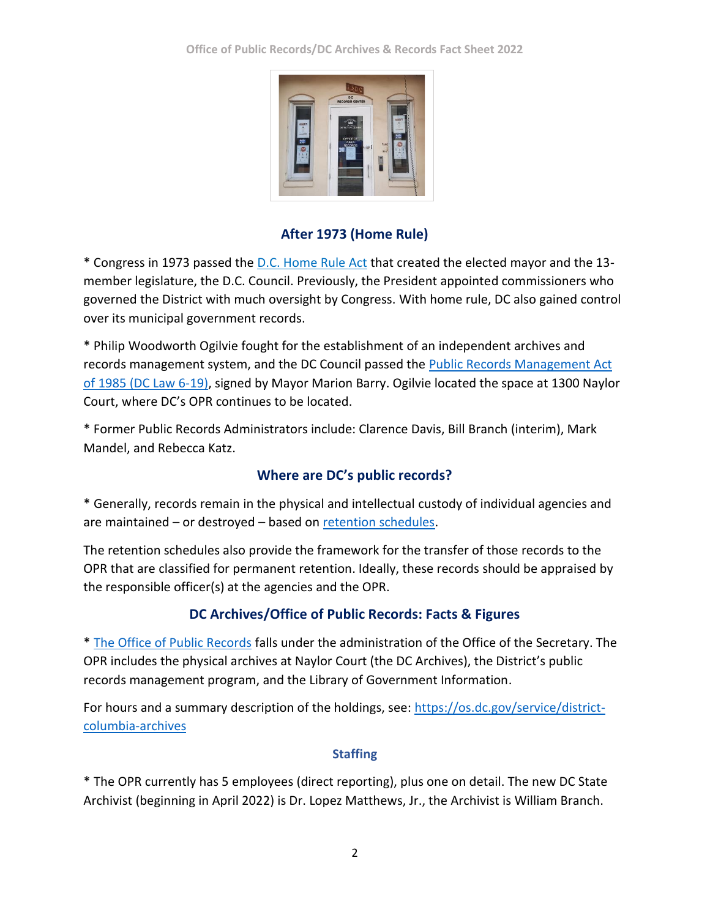

## **After 1973 (Home Rule)**

\* Congress in 1973 passed the [D.C. Home Rule Act](https://en.wikipedia.org/wiki/District_of_Columbia_Home_Rule_Act) that created the elected mayor and the 13 member legislature, the D.C. Council. Previously, the President appointed commissioners who governed the District with much oversight by Congress. With home rule, DC also gained control over its municipal government records.

\* Philip Woodworth Ogilvie fought for the establishment of an independent archives and records management system, and the DC Council passed the [Public Records Management Act](https://code.dccouncil.us/us/dc/council/code/titles/2/chapters/17)  [of 1985 \(DC Law 6-19\),](https://code.dccouncil.us/us/dc/council/code/titles/2/chapters/17) signed by Mayor Marion Barry. Ogilvie located the space at 1300 Naylor Court, where DC's OPR continues to be located.

\* Former Public Records Administrators include: Clarence Davis, Bill Branch (interim), Mark Mandel, and Rebecca Katz.

## **Where are DC's public records?**

\* Generally, records remain in the physical and intellectual custody of individual agencies and are maintained – or destroyed – based on [retention schedules.](https://os.dc.gov/service/public-records-center)

The retention schedules also provide the framework for the transfer of those records to the OPR that are classified for permanent retention. Ideally, these records should be appraised by the responsible officer(s) at the agencies and the OPR.

## **DC Archives/Office of Public Records: Facts & Figures**

\* [The Office of Public Records](file:///C:/Users/Katja/Downloads/%20https/os.dc.gov/page/office-public-records-and-archives) falls under the administration of the Office of the Secretary. The OPR includes the physical archives at Naylor Court (the DC Archives), the District's public records management program, and the Library of Government Information.

For hours and a summary description of the holdings, see: [https://os.dc.gov/service/district](https://os.dc.gov/service/district-columbia-archives)[columbia-archives](https://os.dc.gov/service/district-columbia-archives)

## **Staffing**

\* The OPR currently has 5 employees (direct reporting), plus one on detail. The new DC State Archivist (beginning in April 2022) is Dr. Lopez Matthews, Jr., the Archivist is William Branch.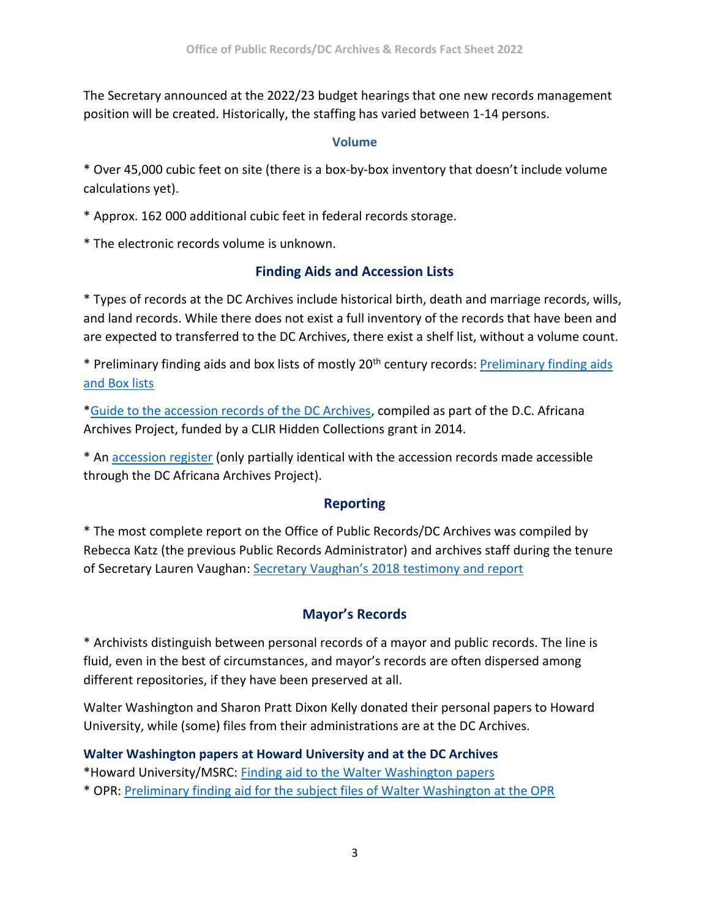The Secretary announced at the 2022/23 budget hearings that one new records management position will be created. Historically, the staffing has varied between 1-14 persons.

#### **Volume**

\* Over 45,000 cubic feet on site (there is a box-by-box inventory that doesn't include volume calculations yet).

\* Approx. 162 000 additional cubic feet in federal records storage.

\* The electronic records volume is unknown.

## **Finding Aids and Accession Lists**

\* Types of records at the DC Archives include historical birth, death and marriage records, wills, and land records. While there does not exist a full inventory of the records that have been and are expected to transferred to the DC Archives, there exist a shelf list, without a volume count.

\* Preliminary finding aids and box lists of mostly 20th century records: [Preliminary finding aids](https://os.dc.gov/page/dc-archives-preliminary-finding-aids-and-box-lists)  [and Box lists](https://os.dc.gov/page/dc-archives-preliminary-finding-aids-and-box-lists)

[\\*Guide to the accession records of the DC Archives,](https://library.gwu.edu/dcaap-fa/dcaap0055.xml) compiled as part of the D.C. Africana Archives Project, funded by a CLIR Hidden Collections grant in 2014.

\* An [accession register](https://dcarchivesopr.files.wordpress.com/2015/12/accessionregister.pdf) (only partially iden[tica](https://dcarchivesopr.files.wordpress.com/2015/12/accessionregister.pdf)l with the accession records made accessible through the DC Africana Archives Project).

### **Reporting**

\* The most complete report on the Office of Public Records/DC Archives was compiled by Rebecca Katz (the previous Public Records Administrator) and archives staff during the tenure of Secretary Lauren Vaughan: [Secretary Vaughan's 2018 testimony and report](https://www.dcarchives.org/uploads/3/7/5/7/37577967/dc_archives_b22-842_lvaughan_testi_9-27-18.pdf)

## **Mayor's Records**

\* Archivists distinguish between personal records of a mayor and public records. The line is fluid, even in the best of circumstances, and mayor's records are often dispersed among different repositories, if they have been preserved at all.

Walter Washington and Sharon Pratt Dixon Kelly donated their personal papers to Howard University, while (some) files from their administrations are at the DC Archives.

### **Walter Washington papers at Howard University and at the DC Archives**

\*Howard University/MSRC: [Finding aid to the Walter Washington](https://dh.howard.edu/cgi/viewcontent.cgi?article=1260&context=finaid_manu) papers

\* OPR: Preliminary finding aid for the subject files of Walter Washington at the OPR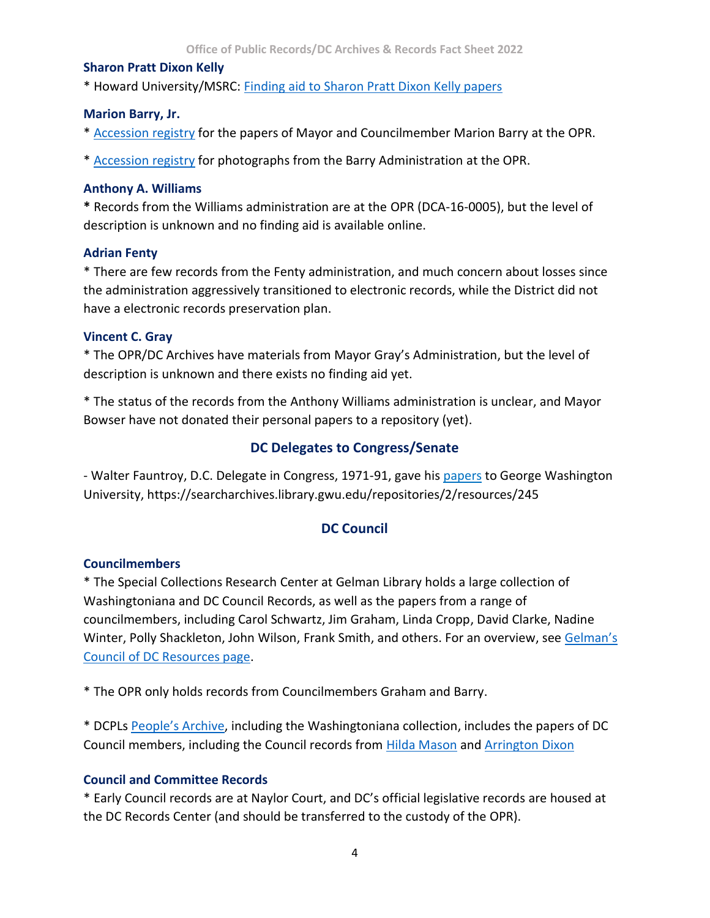#### **Sharon Pratt Dixon Kelly**

\* Howard University/MSRC: [Finding aid to Sharon Pratt Dixon Kelly papers](https://dh.howard.edu/cgi/viewcontent.cgi?article=1248&context=finaid_manu)

#### **Marion Barry, Jr.**

\* [Accession registry](https://os.dc.gov/sites/default/files/dc/sites/os/page_content/attachments/15_0006_CC_Records_of_Councilman_Marion_Barry_Jr.pdf) for the papers of Mayor and Councilmember Marion Barry at the OPR.

\* [Accession registry](https://os.dc.gov/sites/default/files/dc/sites/os/page_content/attachments/15_0007_OM_Photographs_of_Mayor_Marion_Barry.pdf) for photographs from the Barry Administration at the OPR.

#### **Anthony A. Williams**

**\*** Records from the Williams administration are at the OPR (DCA-16-0005), but the level of description is unknown and no finding aid is available online.

#### **Adrian Fenty**

\* There are few records from the Fenty administration, and much concern about losses since the administration aggressively transitioned to electronic records, while the District did not have a electronic records preservation plan.

#### **Vincent C. Gray**

\* The OPR/DC Archives have materials from Mayor Gray's Administration, but the level of description is unknown and there exists no finding aid yet.

\* The status of the records from the Anthony Williams administration is unclear, and Mayor Bowser have not donated their personal papers to a repository (yet).

### **DC Delegates to Congress/Senate**

- Walter Fauntroy, D.C. Delegate in Congress, 1971-91, gave his [papers](https://searcharchives.library.gwu.edu/repositories/2/resources/245) to George Washington University, https://searcharchives.library.gwu.edu/repositories/2/resources/245

## **DC Council**

### **Councilmembers**

\* The Special Collections Research Center at Gelman Library holds a large collection of Washingtoniana and DC Council Records, as well as the papers from a range of councilmembers, including Carol Schwartz, Jim Graham, Linda Cropp, David Clarke, Nadine Winter, Polly Shackleton, John Wilson, Frank Smith, and others. For an overview, see [Gelman's](https://wrlc-gwu.primo.exlibrisgroup.com/discovery/collectionDiscovery?vid=01WRLC_GWA:live&inst=01WRLC_GWA&collectionId=81636139750004107)  [Council of DC Resources page.](https://wrlc-gwu.primo.exlibrisgroup.com/discovery/collectionDiscovery?vid=01WRLC_GWA:live&inst=01WRLC_GWA&collectionId=81636139750004107)

\* The OPR only holds records from Councilmembers Graham and Barry.

\* DCPLs [People's Archive](https://www.dclibrary.org/thepeoplesarchive), including the Washingtoniana collection, includes the papers of DC Council members, including the Council records from [Hilda Mason](file:///C:/Users/Katja/Downloads/Hilda%20Mason) and [Arrington Dixon](https://library.gwu.edu/dcaap-fa/dcaap0024.xml)

### **Council and Committee Records**

\* Early Council records are at Naylor Court, and DC's official legislative records are housed at the DC Records Center (and should be transferred to the custody of the OPR).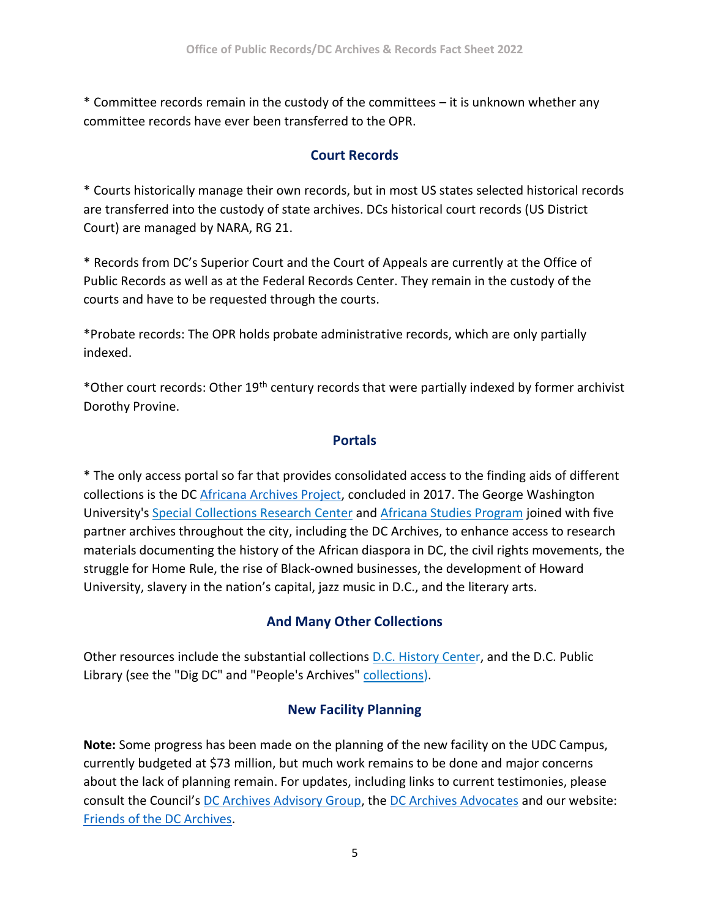\* Committee records remain in the custody of the committees – it is unknown whether any committee records have ever been transferred to the OPR.

## **Court Records**

\* Courts historically manage their own records, but in most US states selected historical records are transferred into the custody of state archives. DCs historical court records (US District Court) are managed by NARA, RG 21.

\* Records from DC's Superior Court and the Court of Appeals are currently at the Office of Public Records as well as at the Federal Records Center. They remain in the custody of the courts and have to be requested through the courts.

\*Probate records: The OPR holds probate administrative records, which are only partially indexed.

\*Other court records: Other 19th century records that were partially indexed by former archivist Dorothy Provine.

### **Portals**

\* The only access portal so far that provides consolidated access to the finding aids of different collections is the DC [Africana Archives Project,](https://library.gwu.edu/dc-africana-archives-project-dcaap) concluded in 2017. The George Washington University's [Special Collections Research Center](https://library.gwu.edu/scrc) and [Africana Studies Program](https://africanastudies.columbian.gwu.edu/) joined with five partner archives throughout the city, including the DC Archives, to enhance access to research materials documenting the history of the African diaspora in DC, the civil rights movements, the struggle for Home Rule, the rise of Black-owned businesses, the development of Howard University, slavery in the nation's capital, jazz music in D.C., and the literary arts.

## **And Many Other Collections**

Other resources include the substantial collections [D.C. History Center](http://dchistory.org/), and the D.C. Public Library (see the "Dig DC" and "People's Archives" [collections\)](https://digdc.dclibrary.org/content/about-dig-dc-and-peoples-archive-dc-public-library).

## **New Facility Planning**

**Note:** Some progress has been made on the planning of the new facility on the UDC Campus, currently budgeted at \$73 million, but much work remains to be done and major concerns about the lack of planning remain. For updates, including links to current testimonies, please consult the Council's [DC Archives Advisory Group,](https://twitter.com/DCArchivesGroup) the [DC Archives Advocates](https://twitter.com/savedcarchives) and our website: [Friends of the DC Archives.](https://www.dcarchives.org/)